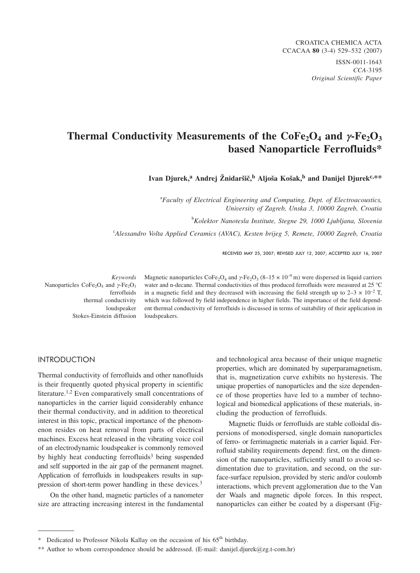# **Thermal Conductivity Measurements of the**  $\text{CoFe}_2\text{O}_4$  **and**  $\gamma$ **-Fe<sub>2</sub>O<sub>3</sub> based Nanoparticle Ferrofluids\***

Ivan Djurek,<sup>a</sup> Andrej Žnidaršič,<sup>b</sup> Aljoša Košak,<sup>b</sup> and Danijel Djurek<sup>c,\*\*</sup>

a *Faculty of Electrical Engineering and Computing, Dept. of Electroacoustics, University of Zagreb, Unska 3, 10000 Zagreb, Croatia*

b *Kolektor Nanotesla Institute, Stegne 29, 1000 Ljubljana, Slovenia*

c *Alessandro Volta Applied Ceramics (AVAC), Kesten brijeg 5, Remete, 10000 Zagreb, Croatia*

RECEIVED MAY 25, 2007; REVISED JULY 12, 2007; ACCEPTED JULY 16, 2007

*Keywords* Nanoparticles  $CoFe<sub>2</sub>O<sub>4</sub>$  and  $\gamma$ -Fe<sub>2</sub>O<sub>3</sub> ferrofluids thermal conductivity loudspeaker Stokes-Einstein diffusion

Magnetic nanoparticles  $\text{CoFe}_2\text{O}_4$  and  $\gamma$ -Fe<sub>2</sub>O<sub>3</sub> (8–15 × 10<sup>-9</sup> m) were dispersed in liquid carriers water and n-decane. Thermal conductivities of thus produced ferrofluids were measured at 25 °C in a magnetic field and they decreased with increasing the field strength up to  $2-3 \times 10^{-2}$  T, which was followed by field independence in higher fields. The importance of the field dependent thermal conductivity of ferrofluids is discussed in terms of suitability of their application in loudspeakers.

# International Contract of

Thermal conductivity of ferrofluids and other nanofluids is their frequently quoted physical property in scientific literature.<sup>1,2</sup> Even comparatively small concentrations of nanoparticles in the carrier liquid considerably enhance their thermal conductivity, and in addition to theoretical interest in this topic, practical importance of the phenomenon resides on heat removal from parts of electrical machines. Excess heat released in the vibrating voice coil of an electrodynamic loudspeaker is commonly removed by highly heat conducting ferrofluids<sup>3</sup> being suspended and self supported in the air gap of the permanent magnet. Application of ferrofluids in loudspeakers results in suppression of short-term power handling in these devices.3

On the other hand, magnetic particles of a nanometer size are attracting increasing interest in the fundamental

and technological area because of their unique magnetic properties, which are dominated by superparamagnetism, that is, magnetization curve exhibits no hysteresis. The unique properties of nanoparticles and the size dependence of those properties have led to a number of technological and biomedical applications of these materials, including the production of ferrofluids.

Magnetic fluids or ferrofluids are stable colloidal dispersions of monodispersed, single domain nanoparticles of ferro- or ferrimagnetic materials in a carrier liquid. Ferrofluid stability requirements depend: first, on the dimension of the nanoparticles, sufficiently small to avoid sedimentation due to gravitation, and second, on the surface-surface repulsion, provided by steric and/or coulomb interactions, which prevent agglomeration due to the Van der Waals and magnetic dipole forces. In this respect, nanoparticles can either be coated by a dispersant (Fig-

Dedicated to Professor Nikola Kallay on the occasion of his 65<sup>th</sup> birthday.

<sup>\*\*</sup> Author to whom correspondence should be addressed. (E-mail: danijel.djurek*@*zg.t-com.hr)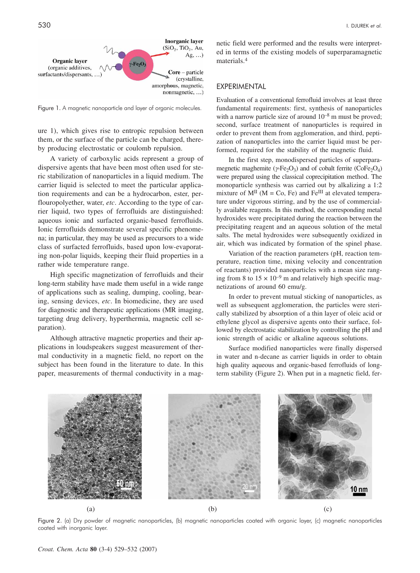

Figure 1. A magnetic nanoparticle and layer of organic molecules.

ure 1), which gives rise to entropic repulsion between them, or the surface of the particle can be charged, thereby producing electrostatic or coulomb repulsion.

A variety of carboxylic acids represent a group of dispersive agents that have been most often used for steric stabilization of nanoparticles in a liquid medium. The carrier liquid is selected to meet the particular application requirements and can be a hydrocarbon, ester, perflouropolyether, water, *etc*. According to the type of carrier liquid, two types of ferrofluids are distinguished: aqueous ionic and surfacted organic-based ferrofluids. Ionic ferrofluids demonstrate several specific phenomena; in particular, they may be used as precursors to a wide class of surfacted ferrofluids, based upon low-evaporating non-polar liquids, keeping their fluid properties in a rather wide temperature range.

High specific magnetization of ferrofluids and their long-term stability have made them useful in a wide range of applications such as sealing, dumping, cooling, bearing, sensing devices, *etc*. In biomedicine, they are used for diagnostic and therapeutic applications (MR imaging, targeting drug delivery, hyperthermia, magnetic cell separation).

Although attractive magnetic properties and their applications in loudspeakers suggest measurement of thermal conductivity in a magnetic field, no report on the subject has been found in the literature to date. In this paper, measurements of thermal conductivity in a mag-

netic field were performed and the results were interpreted in terms of the existing models of superparamagnetic materials.4

Evaluation of a conventional ferrofluid involves at least three fundamental requirements: first, synthesis of nanoparticles with a narrow particle size of around  $10^{-8}$  m must be proved; second, surface treatment of nanoparticles is required in order to prevent them from agglomeration, and third, peptization of nanoparticles into the carrier liquid must be performed, required for the stability of the magnetic fluid.

In the first step, monodispersed particles of superparamegnetic maghemite ( $\gamma$ -Fe<sub>2</sub>O<sub>3</sub>) and of cobalt ferrite (CoFe<sub>2</sub>O<sub>4</sub>) were prepared using the classical coprecipitation method. The monoparticle synthesis was carried out by alkalizing a 1:2 mixture of  $M<sup>H</sup>$  (M = Co, Fe) and Fe<sup>III</sup> at elevated temperature under vigorous stirring, and by the use of commercially available reagents. In this method, the corresponding metal hydroxides were precipitated during the reaction between the precipitating reagent and an aqueous solution of the metal salts. The metal hydroxides were subsequently oxidized in air, which was indicated by formation of the spinel phase.

Variation of the reaction parameters (pH, reaction temperature, reaction time, mixing velocity and concentration of reactants) provided nanoparticles with a mean size ranging from 8 to  $15 \times 10^{-9}$  m and relatively high specific magnetizations of around 60 emu/g.

In order to prevent mutual sticking of nanoparticles, as well as subsequent agglomeration, the particles were sterically stabilized by absorption of a thin layer of oleic acid or ethylene glycol as dispersive agents onto their surface, followed by electrostatic stabilization by controlling the pH and ionic strength of acidic or alkaline aqueous solutions.

Surface modified nanoparticles were finally dispersed in water and n*-*decane as carrier liquids in order to obtain high quality aqueous and organic-based ferrofluids of longterm stability (Figure 2). When put in a magnetic field, fer-



Figure 2. (a) Dry powder of magnetic nanoparticles, (b) magnetic nanoparticles coated with organic layer, (c) magnetic nanoparticles coated with inorganic layer.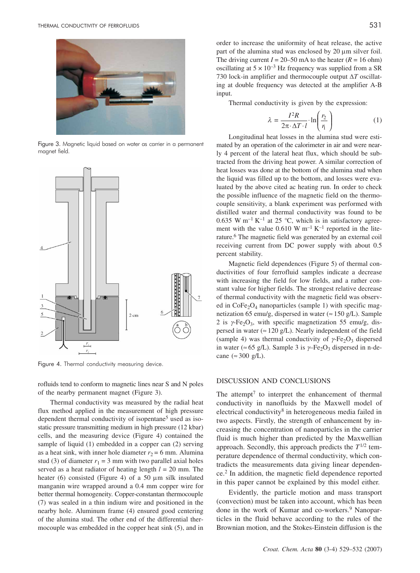

Figure 3. Magnetic liquid based on water as carrier in a permanent magnet field.



Figure 4. Thermal conductivity measuring device.

rofluids tend to conform to magnetic lines near S and N poles of the nearby permanent magnet (Figure 3).

Thermal conductivity was measured by the radial heat flux method applied in the measurement of high pressure dependent thermal conductivity of isopentane<sup>5</sup> used as isostatic pressure transmitting medium in high pressure (12 kbar) cells, and the measuring device (Figure 4) contained the sample of liquid (1) embedded in a copper can (2) serving as a heat sink, with inner hole diameter  $r_2 = 6$  mm. Alumina stud (3) of diameter  $r_1 = 3$  mm with two parallel axial holes served as a heat radiator of heating length *l* = 20 mm. The heater (6) consisted (Figure 4) of a 50  $\mu$ m silk insulated manganin wire wrapped around a 0.4 mm copper wire for better thermal homogeneity. Copper-constantan thermocouple (7) was sealed in a thin indium wire and positioned in the nearby hole. Aluminum frame (4) ensured good centering of the alumina stud. The other end of the differential thermocouple was embedded in the copper heat sink (5), and in

order to increase the uniformity of heat release, the active part of the alumina stud was enclosed by 20 um silver foil. The driving current  $I = 20-50$  mA to the heater  $(R = 16$  ohm) oscillating at  $5 \times 10^{-3}$  Hz frequency was supplied from a SR 730 lock-in amplifier and thermocouple output  $\Delta T$  oscillating at double frequency was detected at the amplifier A-B input.

Thermal conductivity is given by the expression:

$$
\lambda = \frac{I^2 R}{2\pi \cdot \Delta T \cdot l} \cdot \ln\left(\frac{r_2}{r_1}\right) \tag{1}
$$

Longitudinal heat losses in the alumina stud were estimated by an operation of the calorimeter in air and were nearly 4 percent of the lateral heat flux, which should be subtracted from the driving heat power. A similar correction of heat losses was done at the bottom of the alumina stud when the liquid was filled up to the bottom, and losses were evaluated by the above cited ac heating run. In order to check the possible influence of the magnetic field on the thermocouple sensitivity, a blank experiment was performed with distilled water and thermal conductivity was found to be 0.635 W m<sup>-1</sup> K<sup>-1</sup> at 25 °C, which is in satisfactory agreement with the value  $0.610 \text{ W m}^{-1} \text{ K}^{-1}$  reported in the literature.6 The magnetic field was generated by an external coil receiving current from DC power supply with about 0.5 percent stability.

Magnetic field dependences (Figure 5) of thermal conductivities of four ferrofluid samples indicate a decrease with increasing the field for low fields, and a rather constant value for higher fields. The strongest relative decrease of thermal conductivity with the magnetic field was observed in  $CoFe<sub>2</sub>O<sub>4</sub>$  nanoparticles (sample 1) with specific magnetization 65 emu/g, dispersed in water ( $\approx$  150 g/L). Sample 2 is  $\gamma$ -Fe<sub>2</sub>O<sub>3</sub>, with specific magnetization 55 emu/g, dispersed in water ( $\approx$  120 g/L). Nearly independent of the field (sample 4) was thermal conductivity of  $\gamma$ -Fe<sub>2</sub>O<sub>3</sub> dispersed in water (≈ 65 g/L). Sample 3 is  $\gamma$ –Fe<sub>2</sub>O<sub>3</sub> dispersed in n-decane ( $\approx 300$  g/L).

#### DISCUSSION AND CONCLUSIONS

The attempt<sup>7</sup> to interpret the enhancement of thermal conductivity in nanofluids by the Maxwell model of electrical conductivity8 in heterogeneous media failed in two aspects. Firstly, the strength of enhancement by increasing the concentration of nanoparticles in the carrier fluid is much higher than predicted by the Maxwellian approach. Secondly, this approach predicts the  $T^{1/2}$  temperature dependence of thermal conductivity, which contradicts the measurements data giving linear dependence.2 In addition, the magnetic field dependence reported in this paper cannot be explained by this model either.

Evidently, the particle motion and mass transport (convection) must be taken into account, which has been done in the work of Kumar and co-workers.<sup>9</sup> Nanoparticles in the fluid behave according to the rules of the Brownian motion, and the Stokes-Einstein diffusion is the